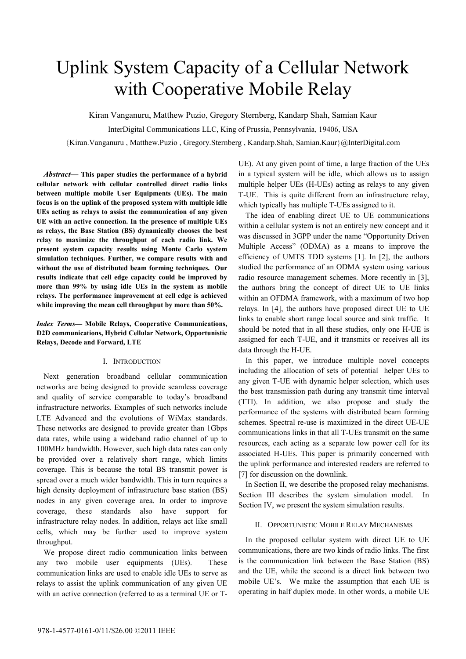# Uplink System Capacity of a Cellular Network with Cooperative Mobile Relay

Kiran Vanganuru, Matthew Puzio, Gregory Sternberg, Kandarp Shah, Samian Kaur

InterDigital Communications LLC, King of Prussia, Pennsylvania, 19406, USA

{Kiran.Vanganuru , Matthew.Puzio , Gregory.Sternberg , Kandarp.Shah, Samian.Kaur}@InterDigital.com

*Abstract—* **This paper studies the performance of a hybrid cellular network with cellular controlled direct radio links between multiple mobile User Equipments (UEs). The main focus is on the uplink of the proposed system with multiple idle UEs acting as relays to assist the communication of any given UE with an active connection. In the presence of multiple UEs as relays, the Base Station (BS) dynamically chooses the best relay to maximize the throughput of each radio link. We present system capacity results using Monte Carlo system simulation techniques. Further, we compare results with and without the use of distributed beam forming techniques. Our results indicate that cell edge capacity could be improved by more than 99% by using idle UEs in the system as mobile relays. The performance improvement at cell edge is achieved while improving the mean cell throughput by more than 50%.** 

# *Index Terms***— Mobile Relays, Cooperative Communications, D2D communications, Hybrid Cellular Network, Opportunistic Relays, Decode and Forward, LTE**

#### I. INTRODUCTION

Next generation broadband cellular communication networks are being designed to provide seamless coverage and quality of service comparable to today's broadband infrastructure networks. Examples of such networks include LTE Advanced and the evolutions of WiMax standards. These networks are designed to provide greater than 1Gbps data rates, while using a wideband radio channel of up to 100MHz bandwidth. However, such high data rates can only be provided over a relatively short range, which limits coverage. This is because the total BS transmit power is spread over a much wider bandwidth. This in turn requires a high density deployment of infrastructure base station (BS) nodes in any given coverage area. In order to improve coverage, these standards also have support for infrastructure relay nodes. In addition, relays act like small cells, which may be further used to improve system throughput.

We propose direct radio communication links between any two mobile user equipments (UEs). These communication links are used to enable idle UEs to serve as relays to assist the uplink communication of any given UE with an active connection (referred to as a terminal UE or T- UE). At any given point of time, a large fraction of the UEs in a typical system will be idle, which allows us to assign multiple helper UEs (H-UEs) acting as relays to any given T-UE. This is quite different from an infrastructure relay, which typically has multiple T-UEs assigned to it.

The idea of enabling direct UE to UE communications within a cellular system is not an entirely new concept and it was discussed in 3GPP under the name "Opportunity Driven Multiple Access" (ODMA) as a means to improve the efficiency of UMTS TDD systems [1]. In [2], the authors studied the performance of an ODMA system using various radio resource management schemes. More recently in [3], the authors bring the concept of direct UE to UE links within an OFDMA framework, with a maximum of two hop relays. In [4], the authors have proposed direct UE to UE links to enable short range local source and sink traffic. It should be noted that in all these studies, only one H-UE is assigned for each T-UE, and it transmits or receives all its data through the H-UE.

In this paper, we introduce multiple novel concepts including the allocation of sets of potential helper UEs to any given T-UE with dynamic helper selection, which uses the best transmission path during any transmit time interval (TTI). In addition, we also propose and study the performance of the systems with distributed beam forming schemes. Spectral re-use is maximized in the direct UE-UE communications links in that all T-UEs transmit on the same resources, each acting as a separate low power cell for its associated H-UEs. This paper is primarily concerned with the uplink performance and interested readers are referred to [7] for discussion on the downlink.

In Section II, we describe the proposed relay mechanisms. Section III describes the system simulation model. In Section IV, we present the system simulation results.

# II. OPPORTUNISTIC MOBILE RELAY MECHANISMS

In the proposed cellular system with direct UE to UE communications, there are two kinds of radio links. The first is the communication link between the Base Station (BS) and the UE, while the second is a direct link between two mobile UE's. We make the assumption that each UE is operating in half duplex mode. In other words, a mobile UE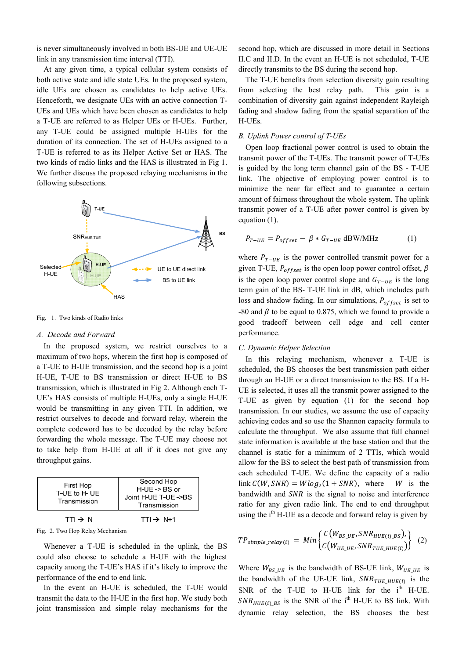is never simultaneously involved in both BS-UE and UE-UE link in any transmission time interval (TTI).

At any given time, a typical cellular system consists of both active state and idle state UEs. In the proposed system, idle UEs are chosen as candidates to help active UEs. Henceforth, we designate UEs with an active connection T-UEs and UEs which have been chosen as candidates to help a T-UE are referred to as Helper UEs or H-UEs. Further, any T-UE could be assigned multiple H-UEs for the duration of its connection. The set of H-UEs assigned to a T-UE is referred to as its Helper Active Set or HAS. The two kinds of radio links and the HAS is illustrated in Fig 1. We further discuss the proposed relaying mechanisms in the following subsections.



Fig. 1. Two kinds of Radio links

#### *A. Decode and Forward*

In the proposed system, we restrict ourselves to a maximum of two hops, wherein the first hop is composed of a T-UE to H-UE transmission, and the second hop is a joint H-UE, T-UE to BS transmission or direct H-UE to BS transmission, which is illustrated in Fig 2. Although each T-UE's HAS consists of multiple H-UEs, only a single H-UE would be transmitting in any given TTI. In addition, we restrict ourselves to decode and forward relay, wherein the complete codeword has to be decoded by the relay before forwarding the whole message. The T-UE may choose not to take help from H-UE at all if it does not give any throughput gains.

| First Hop<br>T-UE to H- UE<br>Transmission | Second Hop<br>$H-UE \geq BS$ or<br>Joint H-UE T-UE ->BS<br>Transmission |  |
|--------------------------------------------|-------------------------------------------------------------------------|--|
| $TTI \rightarrow NI$                       |                                                                         |  |

Fig. 2. Two Hop Relay Mechanism

Whenever a T-UE is scheduled in the uplink, the BS could also choose to schedule a H-UE with the highest capacity among the T-UE's HAS if it's likely to improve the performance of the end to end link.

In the event an H-UE is scheduled, the T-UE would transmit the data to the H-UE in the first hop. We study both joint transmission and simple relay mechanisms for the

second hop, which are discussed in more detail in Sections II.C and II.D. In the event an H-UE is not scheduled, T-UE directly transmits to the BS during the second hop.

The T-UE benefits from selection diversity gain resulting from selecting the best relay path. This gain is a combination of diversity gain against independent Rayleigh fading and shadow fading from the spatial separation of the H-UEs.

# *B. Uplink Power control of T-UEs*

Open loop fractional power control is used to obtain the transmit power of the T-UEs. The transmit power of T-UEs is guided by the long term channel gain of the BS - T-UE link. The objective of employing power control is to minimize the near far effect and to guarantee a certain amount of fairness throughout the whole system. The uplink transmit power of a T-UE after power control is given by equation (1).

$$
P_{T-UE} = P_{offset} - \beta * G_{T-UE} \text{ dBW} / \text{MHz}
$$
 (1)

where  $P_{T-UE}$  is the power controlled transmit power for a given T-UE,  $P_{offset}$  is the open loop power control offset,  $\beta$ is the open loop power control slope and  $G_{T-UE}$  is the long term gain of the BS- T-UE link in dB, which includes path loss and shadow fading. In our simulations,  $P_{offset}$  is set to -80 and  $\beta$  to be equal to 0.875, which we found to provide a good tradeoff between cell edge and cell center performance.

#### *C. Dynamic Helper Selection*

In this relaying mechanism, whenever a T-UE is scheduled, the BS chooses the best transmission path either through an H-UE or a direct transmission to the BS. If a H-UE is selected, it uses all the transmit power assigned to the T-UE as given by equation (1) for the second hop transmission. In our studies, we assume the use of capacity achieving codes and so use the Shannon capacity formula to calculate the throughput. We also assume that full channel state information is available at the base station and that the channel is static for a minimum of 2 TTIs, which would allow for the BS to select the best path of transmission from each scheduled T-UE. We define the capacity of a radio link  $C(W, SNR) = W \log_2(1 + SNR)$ , where *W* is the bandwidth and SNR is the signal to noise and interference ratio for any given radio link. The end to end throughput using the i<sup>th</sup> H-UE as a decode and forward relay is given by

$$
TP_{simple\_relay(i)} = Min \begin{cases} C(W_{BS\cup TE}, SNR_{HUE(i)\_BS}), \\ C(W_{UE\_UE}, SNR_{TUE\_HUE(i)}) \end{cases} (2)
$$

Where  $W_{BS_UE}$  is the bandwidth of BS-UE link,  $W_{UE_UE}$  is the bandwidth of the UE-UE link,  $SNR_{TUE\_HUE(i)}$  is the SNR of the T-UE to H-UE link for the  $i<sup>th</sup>$  H-UE.  $SNR_{HUE(i)BS}$  is the SNR of the i<sup>th</sup> H-UE to BS link. With dynamic relay selection, the BS chooses the best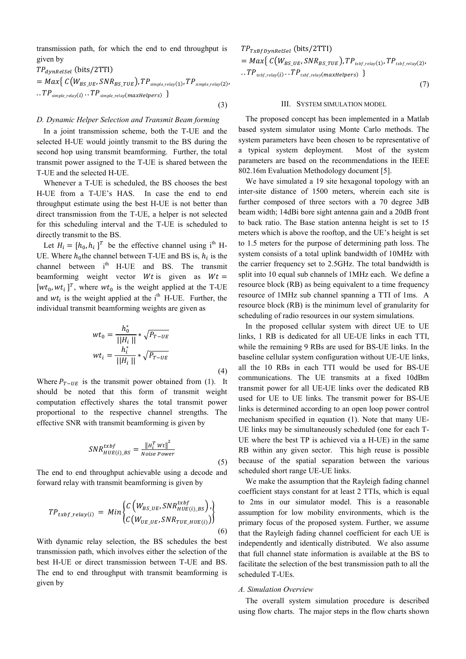transmission path, for which the end to end throughput is given by

$$
TP_{\text{dynRelSel}}\text{ (bits/2TTI)}
$$
\n
$$
= \text{Max} \{ C(W_{BS\_UE}, \text{SNR}_{BS\_TUE}), \text{TP}_{\text{simple\_relay}(1)}, \text{TP}_{\text{simple\_relay}(2)}, \text{TP}_{\text{simple\_relay}(1)}, \text{TP}_{\text{simple\_relay}(2)}, \text{TP}_{\text{simple\_relay}(1)}, \text{TP}_{\text{simple\_relay}(1)}, \text{TP}_{\text{simple\_relay}(1)}, \text{TP}_{\text{simple\_relay}(1)}, \text{TP}_{\text{simple\_relay}(1)}, \text{TP}_{\text{simple\_relay}(2)}, \text{TP}_{\text{simple\_relay}(2)}, \text{TP}_{\text{simple\_relay}(2)}, \text{TP}_{\text{simple\_relay}(2)}, \text{TP}_{\text{simple\_relay}(2)}, \text{TP}_{\text{simple\_relay}(2)}, \text{TP}_{\text{simple\_relay}(2)}, \text{TP}_{\text{simple\_relay}(2)}, \text{TP}_{\text{simple\_relay}(2)}, \text{TP}_{\text{simple\_relay}(2)}, \text{TP}_{\text{simple\_relay}(2)}, \text{TP}_{\text{simple\_relay}(2)}, \text{TP}_{\text{simple\_relay}(2)}, \text{TP}_{\text{simple\_relay}(2)}, \text{TP}_{\text{simple\_relay}(2)}, \text{TP}_{\text{simple\_relay}(2)}, \text{TP}_{\text{simple\_relay}(2)}, \text{TP}_{\text{simple\_relay}(2)}, \text{TP}_{\text{simple\_relay}(2)}, \text{TP}_{\text{simple\_relay}(2)}, \text{TP}_{\text{simple\_relay}(2)}, \text{TP}_{\text{simple\_relay}(2)}, \text{TP}_{\text{simple\_relay}(2)}, \text{TP}_{\text{simple\_relay}(2)}, \text{TP}_{\text{simple\_relay}(2)}, \text{TP}_{\text{simple\_relay}(2)}, \text{TP}_{\text{simple\_relay}(2)}, \text{TP}_{\text{simple\_relay}(2)}, \text{TP}_{\text{simple\_relay}(2)}, \text{TP}_{\text{simple\_relay}(2)}, \text{TP}_{\text{simple\_relay}(2)}, \text{TP}_{\text{simple\_relay}(2)}, \text{TP}_{\text{simple\_relay}(2)}, \text{TP}_{\text{simple\_relay}(2)}, \text{TP}_{\text{simple\_relay}(2)}, \text{TP}_{\text{single\_relay}(2)}, \text{TP}_{\text{single\_relay}(2)}, \text{TP}_{\text{single\_relay}(2)},
$$

#### *D. Dynamic Helper Selection and Transmit Beam forming*

In a joint transmission scheme, both the T-UE and the selected H-UE would jointly transmit to the BS during the second hop using transmit beamforming. Further, the total transmit power assigned to the T-UE is shared between the T-UE and the selected H-UE.

Whenever a T-UE is scheduled, the BS chooses the best H-UE from a T-UE's HAS. In case the end to end throughput estimate using the best H-UE is not better than direct transmission from the T-UE, a helper is not selected for this scheduling interval and the T-UE is scheduled to directly transmit to the BS.

Let  $H_i = [h_0, h_i]^T$  be the effective channel using i<sup>th</sup> H-UE. Where  $h_0$ the channel between T-UE and BS is,  $h_i$  is the channel between  $i<sup>th</sup>$  H-UE and BS. The transmit beamforming weight vector  $Wt$  is given as  $Wt =$  $[wt_0, wt_i]^T$ , where  $wt_0$  is the weight applied at the T-UE and  $wt_i$  is the weight applied at the i<sup>th</sup> H-UE. Further, the individual transmit beamforming weights are given as

$$
wt_0 = \frac{h_0^*}{||H_i||} * \sqrt{P_{T-UE}}
$$
  

$$
wt_i = \frac{h_i^*}{||H_i||} * \sqrt{P_{T-UE}}
$$
\n(4)

Where  $P_{T-IE}$  is the transmit power obtained from (1). It should be noted that this form of transmit weight computation effectively shares the total transmit power proportional to the respective channel strengths. The effective SNR with transmit beamforming is given by

$$
SNR_{HUE(i)\_BS}^{txbf} = \frac{\left\|H_i^T wt\right\|^2}{Noise Power}
$$
\n<sup>(5)</sup>

The end to end throughput achievable using a decode and forward relay with transmit beamforming is given by

$$
TP_{txbf\_relay(i)} = Min \begin{cases} C(W_{BS\_UE}, SNR_{HUE(i)\_BS}) \\ C(W_{UE\_UE}, SNR_{TUE\_HUE(i)}) \end{cases}
$$
(6)

With dynamic relay selection, the BS schedules the best transmission path, which involves either the selection of the best H-UE or direct transmission between T-UE and BS. The end to end throughput with transmit beamforming is given by

$$
TP_{TxBfDynRelSel} \text{ (bits/2TTI)}
$$
  
= Max{  $C(W_{BS\_UE}, SNR_{BS\_TUE}, TP_{txbf\_relay(1)}, TP_{txbf\_relay(2)}, \dots TP_{txbf\_relay(i)} \dots TP_{txbf\_relay(maxHelpers)}$  } (7)

#### III. SYSTEM SIMULATION MODEL

The proposed concept has been implemented in a Matlab based system simulator using Monte Carlo methods. The system parameters have been chosen to be representative of a typical system deployment. Most of the system parameters are based on the recommendations in the IEEE 802.16m Evaluation Methodology document [5].

We have simulated a 19 site hexagonal topology with an inter-site distance of 1500 meters, wherein each site is further composed of three sectors with a 70 degree 3dB beam width; 14dBi bore sight antenna gain and a 20dB front to back ratio. The Base station antenna height is set to 15 meters which is above the rooftop, and the UE's height is set to 1.5 meters for the purpose of determining path loss. The system consists of a total uplink bandwidth of 10MHz with the carrier frequency set to 2.5GHz. The total bandwidth is split into 10 equal sub channels of 1MHz each. We define a resource block (RB) as being equivalent to a time frequency resource of 1MHz sub channel spanning a TTI of 1ms. A resource block (RB) is the minimum level of granularity for scheduling of radio resources in our system simulations.

In the proposed cellular system with direct UE to UE links, 1 RB is dedicated for all UE-UE links in each TTI, while the remaining 9 RBs are used for BS-UE links. In the baseline cellular system configuration without UE-UE links, all the 10 RBs in each TTI would be used for BS-UE communications. The UE transmits at a fixed 10dBm transmit power for all UE-UE links over the dedicated RB used for UE to UE links. The transmit power for BS-UE links is determined according to an open loop power control mechanism specified in equation (1). Note that many UE-UE links may be simultaneously scheduled (one for each T-UE where the best TP is achieved via a H-UE) in the same RB within any given sector. This high reuse is possible because of the spatial separation between the various scheduled short range UE-UE links.

We make the assumption that the Rayleigh fading channel coefficient stays constant for at least 2 TTIs, which is equal to 2ms in our simulator model. This is a reasonable assumption for low mobility environments, which is the primary focus of the proposed system. Further, we assume that the Rayleigh fading channel coefficient for each UE is independently and identically distributed. We also assume that full channel state information is available at the BS to facilitate the selection of the best transmission path to all the scheduled T-UEs.

#### *A. Simulation Overview*

The overall system simulation procedure is described using flow charts. The major steps in the flow charts shown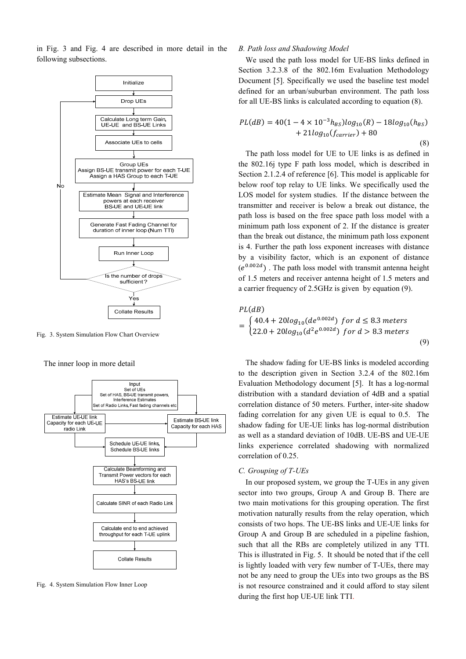in Fig. 3 and Fig. 4 are described in more detail in the following subsections.



Fig. 3. System Simulation Flow Chart Overview

The inner loop in more detail



Fig. 4. System Simulation Flow Inner Loop

#### *B. Path loss and Shadowing Model*

We used the path loss model for UE-BS links defined in Section 3.2.3.8 of the 802.16m Evaluation Methodology Document [5]. Specifically we used the baseline test model defined for an urban/suburban environment. The path loss for all UE-BS links is calculated according to equation (8).

$$
PL(dB) = 40(1 - 4 \times 10^{-3} h_{BS}) log_{10}(R) - 18 log_{10}(h_{BS})
$$
  
+ 21 log\_{10}(f\_{carrier}) + 80

(8)

The path loss model for UE to UE links is as defined in the 802.16j type F path loss model, which is described in Section 2.1.2.4 of reference [6]. This model is applicable for below roof top relay to UE links. We specifically used the LOS model for system studies. If the distance between the transmitter and receiver is below a break out distance, the path loss is based on the free space path loss model with a minimum path loss exponent of 2. If the distance is greater than the break out distance, the minimum path loss exponent is 4. Further the path loss exponent increases with distance by a visibility factor, which is an exponent of distance  $(e^{0.002d})$ . The path loss model with transmit antenna height of 1.5 meters and receiver antenna height of 1.5 meters and a carrier frequency of 2.5GHz is given by equation (9).

# $PL(dB)$  $=\begin{cases} 40.4 + 20log_{10}(de^{0.002d}) \ for \ d \leq 8.3 \ meters \\ 22.0 + 20log_{10}(d^2e^{0.002d}) \ for \ d > 8.3 \ meters \end{cases}$ (9)

The shadow fading for UE-BS links is modeled according to the description given in Section 3.2.4 of the 802.16m Evaluation Methodology document [5]. It has a log-normal distribution with a standard deviation of 4dB and a spatial correlation distance of 50 meters. Further, inter-site shadow fading correlation for any given UE is equal to 0.5. The shadow fading for UE-UE links has log-normal distribution as well as a standard deviation of 10dB. UE-BS and UE-UE links experience correlated shadowing with normalized correlation of 0.25.

#### *C. Grouping of T-UEs*

In our proposed system, we group the T-UEs in any given sector into two groups, Group A and Group B. There are two main motivations for this grouping operation. The first motivation naturally results from the relay operation, which consists of two hops. The UE-BS links and UE-UE links for Group A and Group B are scheduled in a pipeline fashion, such that all the RBs are completely utilized in any TTI. This is illustrated in Fig. 5. It should be noted that if the cell is lightly loaded with very few number of T-UEs, there may not be any need to group the UEs into two groups as the BS is not resource constrained and it could afford to stay silent during the first hop UE-UE link TTI.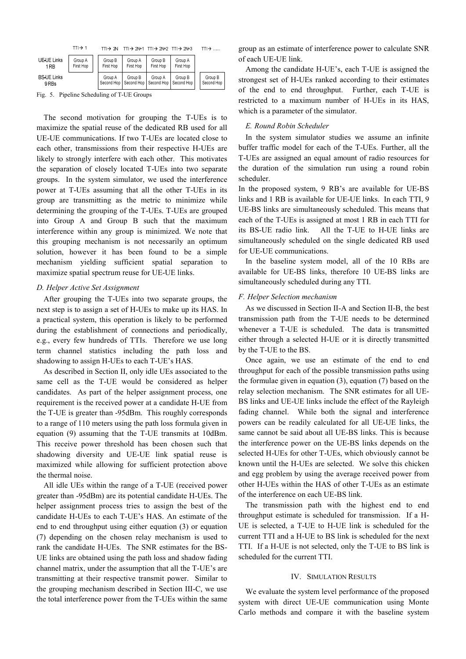|                    | $TTI \rightarrow 1$ | $TTI \rightarrow 2N$ |            | TTI $\rightarrow$ 2N+1 TTI $\rightarrow$ 2N+2 TTI $\rightarrow$ 2N+3 |            | $TTI \rightarrow $ |
|--------------------|---------------------|----------------------|------------|----------------------------------------------------------------------|------------|--------------------|
| <b>UE UE Links</b> | Group A             | Group B              | Group A    | Group B                                                              | Group A    |                    |
| 1 <sub>RB</sub>    | First Hop           | First Hop            | First Hop  | First Hop                                                            | First Hop  |                    |
| <b>BS-UE Links</b> |                     | Group A              | Group B    | Group A                                                              | Group B    | Group B            |
| 9 RBs              |                     | Second Hop I         | Second Hop | Second Hop                                                           | Second Hop | Second Hop         |

Fig. 5. Pipeline Scheduling of T-UE Groups

The second motivation for grouping the T-UEs is to maximize the spatial reuse of the dedicated RB used for all UE-UE communications. If two T-UEs are located close to each other, transmissions from their respective H-UEs are likely to strongly interfere with each other. This motivates the separation of closely located T-UEs into two separate groups. In the system simulator, we used the interference power at T-UEs assuming that all the other T-UEs in its group are transmitting as the metric to minimize while determining the grouping of the T-UEs. T-UEs are grouped into Group A and Group B such that the maximum interference within any group is minimized. We note that this grouping mechanism is not necessarily an optimum solution, however it has been found to be a simple mechanism yielding sufficient spatial separation to maximize spatial spectrum reuse for UE-UE links.

# *D. Helper Active Set Assignment*

After grouping the T-UEs into two separate groups, the next step is to assign a set of H-UEs to make up its HAS. In a practical system, this operation is likely to be performed during the establishment of connections and periodically, e.g., every few hundreds of TTIs. Therefore we use long term channel statistics including the path loss and shadowing to assign H-UEs to each T-UE's HAS.

As described in Section II, only idle UEs associated to the same cell as the T-UE would be considered as helper candidates. As part of the helper assignment process, one requirement is the received power at a candidate H-UE from the T-UE is greater than -95dBm. This roughly corresponds to a range of 110 meters using the path loss formula given in equation (9) assuming that the T-UE transmits at 10dBm. This receive power threshold has been chosen such that shadowing diversity and UE-UE link spatial reuse is maximized while allowing for sufficient protection above the thermal noise.

All idle UEs within the range of a T-UE (received power greater than -95dBm) are its potential candidate H-UEs. The helper assignment process tries to assign the best of the candidate H-UEs to each T-UE's HAS. An estimate of the end to end throughput using either equation (3) or equation (7) depending on the chosen relay mechanism is used to rank the candidate H-UEs. The SNR estimates for the BS-UE links are obtained using the path loss and shadow fading channel matrix, under the assumption that all the T-UE's are transmitting at their respective transmit power. Similar to the grouping mechanism described in Section III-C, we use the total interference power from the T-UEs within the same

group as an estimate of interference power to calculate SNR of each UE-UE link.

Among the candidate H-UE's, each T-UE is assigned the strongest set of H-UEs ranked according to their estimates of the end to end throughput. Further, each T-UE is restricted to a maximum number of H-UEs in its HAS, which is a parameter of the simulator.

### *E. Round Robin Scheduler*

In the system simulator studies we assume an infinite buffer traffic model for each of the T-UEs. Further, all the T-UEs are assigned an equal amount of radio resources for the duration of the simulation run using a round robin scheduler.

In the proposed system, 9 RB's are available for UE-BS links and 1 RB is available for UE-UE links. In each TTI, 9 UE-BS links are simultaneously scheduled. This means that each of the T-UEs is assigned at most 1 RB in each TTI for its BS-UE radio link. All the T-UE to H-UE links are simultaneously scheduled on the single dedicated RB used for UE-UE communications.

In the baseline system model, all of the 10 RBs are available for UE-BS links, therefore 10 UE-BS links are simultaneously scheduled during any TTI.

#### *F. Helper Selection mechanism*

As we discussed in Section II-A and Section II-B, the best transmission path from the T-UE needs to be determined whenever a T-UE is scheduled. The data is transmitted either through a selected H-UE or it is directly transmitted by the T-UE to the BS.

Once again, we use an estimate of the end to end throughput for each of the possible transmission paths using the formulae given in equation (3), equation (7) based on the relay selection mechanism. The SNR estimates for all UE-BS links and UE-UE links include the effect of the Rayleigh fading channel. While both the signal and interference powers can be readily calculated for all UE-UE links, the same cannot be said about all UE-BS links. This is because the interference power on the UE-BS links depends on the selected H-UEs for other T-UEs, which obviously cannot be known until the H-UEs are selected. We solve this chicken and egg problem by using the average received power from other H-UEs within the HAS of other T-UEs as an estimate of the interference on each UE-BS link.

The transmission path with the highest end to end throughput estimate is scheduled for transmission. If a H-UE is selected, a T-UE to H-UE link is scheduled for the current TTI and a H-UE to BS link is scheduled for the next TTI. If a H-UE is not selected, only the T-UE to BS link is scheduled for the current TTI.

#### IV. SIMULATION RESULTS

We evaluate the system level performance of the proposed system with direct UE-UE communication using Monte Carlo methods and compare it with the baseline system